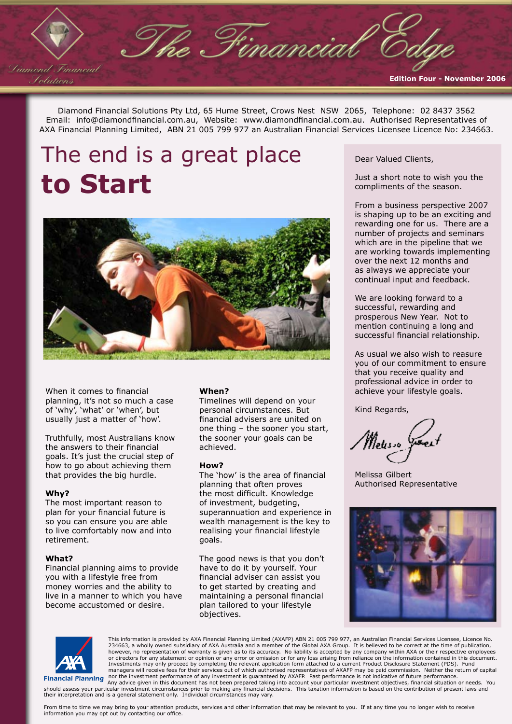Diamond Financial Solutions Pty Ltd, 65 Hume Street, Crows Nest NSW 2065, Telephone: 02 8437 3562 Email: info@diamondfinancial.com.au, Website: www.diamondfinancial.com.au. Authorised Representatives of AXA Financial Planning Limited, ABN 21 005 799 977 an Australian Financial Services Licensee Licence No: 234663.

The Financial

# The end is a great place **to Start**



When it comes to financial planning, it's not so much a case of 'why', 'what' or 'when', but usually just a matter of 'how'.

Truthfully, most Australians know the answers to their financial goals. It's just the crucial step of how to go about achieving them that provides the big hurdle.

### **Why?**

Liamond Financial Iolutions

> The most important reason to plan for your financial future is so you can ensure you are able to live comfortably now and into retirement.

### **What?**

Financial planning aims to provide you with a lifestyle free from money worries and the ability to live in a manner to which you have become accustomed or desire.

### **When?**

Timelines will depend on your personal circumstances. But financial advisers are united on one thing – the sooner you start, the sooner your goals can be achieved.

### **How?**

The 'how' is the area of financial planning that often proves the most difficult. Knowledge of investment, budgeting, superannuation and experience in wealth management is the key to realising your financial lifestyle goals.

The good news is that you don't have to do it by yourself. Your financial adviser can assist you to get started by creating and maintaining a personal financial plan tailored to your lifestyle objectives.

Dear Valued Clients,

Just a short note to wish you the compliments of the season.

**Edition Four - November 2006**

From a business perspective 2007 is shaping up to be an exciting and rewarding one for us. There are a number of projects and seminars which are in the pipeline that we are working towards implementing over the next 12 months and as always we appreciate your continual input and feedback.

We are looking forward to a successful, rewarding and prosperous New Year. Not to mention continuing a long and successful financial relationship.

As usual we also wish to reasure you of our commitment to ensure that you receive quality and professional advice in order to achieve your lifestyle goals.

Kind Regards,

Meuso

Melissa Gilbert Authorised Representative





This information is provided by AXA Financial Planning Limited (AXAFP) ABN 21 005 799 977, an Australian Financial Services Licensee, Licence No.<br>234663, a wholly owned subsidiary of AXA Australia and a member of the Globa managers will receive fees for their services out of which authorised representatives of AXAFP may be paid commission. Neither the return of capital<br>Financial Planning nor the investment performance of any investment is gu

their interpretation and is a general statement only. Individual circumstances may vary.

From time to time we may bring to your attention products, services and other information that may be relevant to you. If at any time you no longer wish to receive information you may opt out by contacting our office.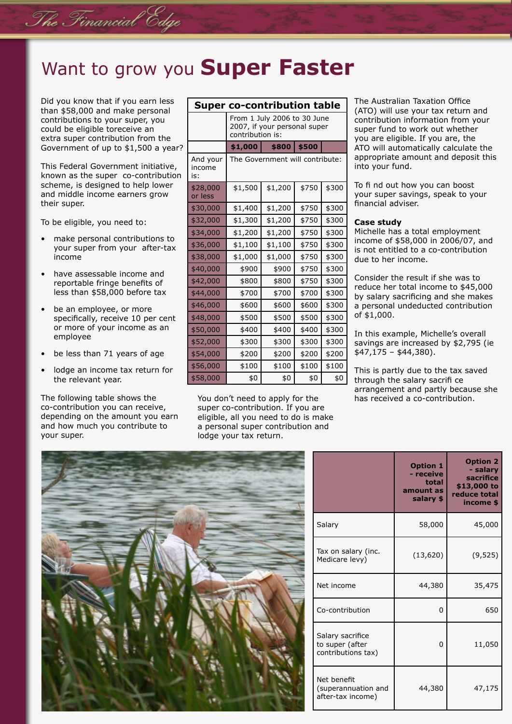### Want to grow you **Super Faster**

Did you know that if you earn less than \$58,000 and make personal contributions to your super, you could be eligible toreceive an extra super contribution from the Government of up to \$1,500 a year?

The Financial Edge

This Federal Government initiative, known as the super co-contribution scheme, is designed to help lower and middle income earners grow their super.

To be eligible, you need to:

- make personal contributions to your super from your after-tax income
- have assessable income and reportable fringe benefits of less than \$58,000 before tax
- be an employee, or more specifically, receive 10 per cent or more of your income as an employee
- be less than 71 years of age
- lodge an income tax return for the relevant year.

The following table shows the co-contribution you can receive, depending on the amount you earn and how much you contribute to your super.

| <b>Super co-contribution table</b> |                                                                                 |         |       |       |  |
|------------------------------------|---------------------------------------------------------------------------------|---------|-------|-------|--|
|                                    | From 1 July 2006 to 30 June<br>2007, if your personal super<br>contribution is: |         |       |       |  |
|                                    | \$1,000                                                                         | \$800   | \$500 |       |  |
| And your<br>income<br>is:          | The Government will contribute:                                                 |         |       |       |  |
| \$28,000<br>or less                | \$1,500                                                                         | \$1,200 | \$750 | \$300 |  |
| \$30,000                           | \$1,400                                                                         | \$1,200 | \$750 | \$300 |  |
| \$32,000                           | \$1,300                                                                         | \$1,200 | \$750 | \$300 |  |
| \$34,000                           | \$1,200                                                                         | \$1,200 | \$750 | \$300 |  |
| \$36,000                           | \$1,100                                                                         | \$1,100 | \$750 | \$300 |  |
| \$38,000                           | \$1,000                                                                         | \$1,000 | \$750 | \$300 |  |
| \$40,000                           | \$900                                                                           | \$900   | \$750 | \$300 |  |
| \$42,000                           | \$800                                                                           | \$800   | \$750 | \$300 |  |
| \$44,000                           | \$700                                                                           | \$700   | \$700 | \$300 |  |
| \$46,000                           | \$600                                                                           | \$600   | \$600 | \$300 |  |
| \$48,000                           | \$500                                                                           | \$500   | \$500 | \$300 |  |
| \$50,000                           | \$400                                                                           | \$400   | \$400 | \$300 |  |
| \$52,000                           | \$300                                                                           | \$300   | \$300 | \$300 |  |
| \$54,000                           | \$200                                                                           | \$200   | \$200 | \$200 |  |
| \$56,000                           | \$100                                                                           | \$100   | \$100 | \$100 |  |
| \$58,000                           | \$0                                                                             | \$0     | \$0   | \$0   |  |

You don't need to apply for the super co-contribution. If you are eligible, all you need to do is make a personal super contribution and lodge your tax return.

The Australian Taxation Office (ATO) will use your tax return and contribution information from your super fund to work out whether you are eligible. If you are, the ATO will automatically calculate the appropriate amount and deposit this into your fund.

To fi nd out how you can boost your super savings, speak to your financial adviser.

### **Case study**

Michelle has a total employment income of \$58,000 in 2006/07, and is not entitled to a co-contribution due to her income.

Consider the result if she was to reduce her total income to \$45,000 by salary sacrificing and she makes a personal undeducted contribution of \$1,000.

In this example, Michelle's overall savings are increased by \$2,795 (ie \$47,175 – \$44,380).

This is partly due to the tax saved through the salary sacrifi ce arrangement and partly because she has received a co-contribution.



|                                                           | <b>Option 1</b><br>- receive<br>total<br>amount as<br>salary \$ | <b>Option 2</b><br>- salary<br>sacrifice<br>\$13,000 to<br>reduce total<br>income \$ |
|-----------------------------------------------------------|-----------------------------------------------------------------|--------------------------------------------------------------------------------------|
| Salary                                                    | 58,000                                                          | 45,000                                                                               |
| Tax on salary (inc.<br>Medicare levy)                     | (13, 620)                                                       | (9, 525)                                                                             |
| Net income                                                | 44,380                                                          | 35,475                                                                               |
| Co-contribution                                           | 0                                                               | 650                                                                                  |
| Salary sacrifice<br>to super (after<br>contributions tax) | 0                                                               | 11,050                                                                               |
| Net benefit<br>(superannuation and<br>after-tax income)   | 44,380                                                          | 47,175                                                                               |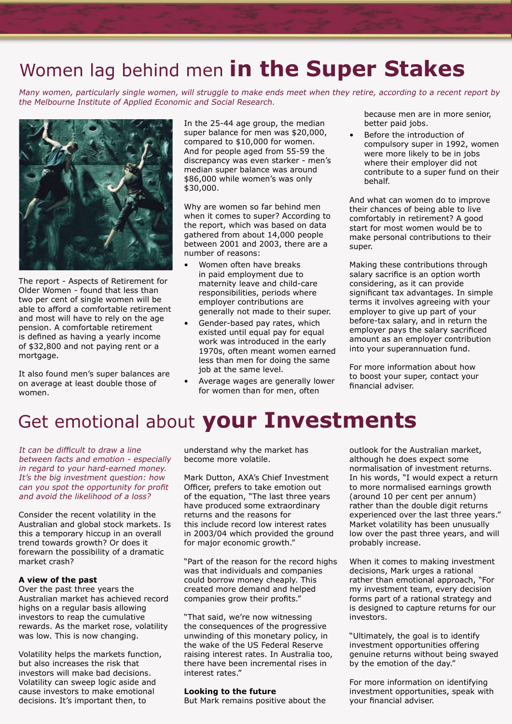## Women lag behind men **in the Super Stakes**

Many women, particularly single women, will struggle to make ends meet when they retire, according to a recent report by the Melbourne Institute of Applied Economic and Social Research.



The report - Aspects of Retirement for Older Women - found that less than two per cent of single women will be able to afford a comfortable retirement and most will have to rely on the age pension. A comfortable retirement is defined as having a yearly income of \$32,800 and not paying rent or a mortgage.

It also found men's super balances are on average at least double those of women.

In the 25-44 age group, the median super balance for men was \$20,000, compared to \$10,000 for women. And for people aged from 55-59 the discrepancy was even starker - men's median super balance was around \$86,000 while women's was only \$30,000.

Why are women so far behind men when it comes to super? According to the report, which was based on data gathered from about 14,000 people between 2001 and 2003, there are a number of reasons:

- Women often have breaks in paid employment due to maternity leave and child-care responsibilities, periods where employer contributions are generally not made to their super.
- Gender-based pay rates, which existed until equal pay for equal work was introduced in the early 1970s, often meant women earned less than men for doing the same job at the same level.
- Average wages are generally lower for women than for men, often

because men are in more senior, better paid jobs.

Before the introduction of compulsory super in 1992, women were more likely to be in jobs where their employer did not contribute to a super fund on their behalf.

And what can women do to improve their chances of being able to live comfortably in retirement? A good start for most women would be to make personal contributions to their super.

Making these contributions through salary sacrifice is an option worth considering, as it can provide significant tax advantages. In simple terms it involves agreeing with your employer to give up part of your before-tax salary, and in return the employer pays the salary sacrificed amount as an employer contribution into your superannuation fund.

For more information about how to boost your super, contact your financial adviser.

## Get emotional about **your Investments**

It can be difficult to draw a line between facts and emotion - especially in regard to your hard-earned money. It's the big investment question: how can you spot the opportunity for profit and avoid the likelihood of a loss?

Consider the recent volatility in the Australian and global stock markets. Is this a temporary hiccup in an overall trend towards growth? Or does it forewarn the possibility of a dramatic market crash?

### **A view of the past**

Over the past three years the Australian market has achieved record highs on a regular basis allowing investors to reap the cumulative rewards. As the market rose, volatility was low. This is now changing.

Volatility helps the markets function, but also increases the risk that investors will make bad decisions. Volatility can sweep logic aside and cause investors to make emotional decisions. It's important then, to

understand why the market has become more volatile.

Mark Dutton, AXA's Chief Investment Officer, prefers to take emotion out of the equation, "The last three years have produced some extraordinary returns and the reasons for this include record low interest rates in 2003/04 which provided the ground for major economic growth."

"Part of the reason for the record highs was that individuals and companies could borrow money cheaply. This created more demand and helped companies grow their profits."

"That said, we're now witnessing the consequences of the progressive unwinding of this monetary policy, in the wake of the US Federal Reserve raising interest rates. In Australia too, there have been incremental rises in interest rates."

### **Looking to the future**

But Mark remains positive about the

outlook for the Australian market, although he does expect some normalisation of investment returns. In his words, "I would expect a return to more normalised earnings growth (around 10 per cent per annum) rather than the double digit returns experienced over the last three years." Market volatility has been unusually low over the past three years, and will probably increase.

When it comes to making investment decisions, Mark urges a rational rather than emotional approach, "For my investment team, every decision forms part of a rational strategy and is designed to capture returns for our investors.

"Ultimately, the goal is to identify investment opportunities offering genuine returns without being swayed by the emotion of the day."

For more information on identifying investment opportunities, speak with your financial adviser.